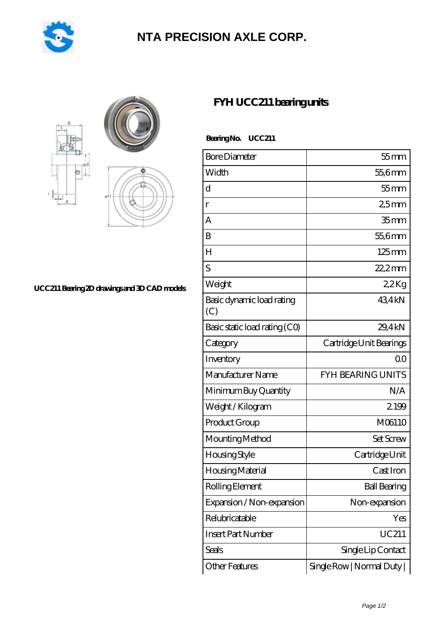

## **[NTA PRECISION AXLE CORP.](https://m.pejle.com)**



## **[UCC211 Bearing 2D drawings and 3D CAD models](https://m.pejle.com/pic-448814.html)**

## **[FYH UCC211 bearing units](https://m.pejle.com/sell-448814-fyh-ucc211-bearing-units.html)**

Bearing No. UCC211

| <b>Bore Diameter</b>             | $55$ mm                  |
|----------------------------------|--------------------------|
| Width                            | $556$ mm                 |
| d                                | $55$ mm                  |
| $\mathbf{r}$                     | 25mm                     |
| A                                | 35 <sub>mm</sub>         |
| B                                | 55,6mm                   |
| H                                | $125 \text{mm}$          |
| S                                | $22.2$ mm                |
| Weight                           | 22Kg                     |
| Basic dynamic load rating<br>(C) | 434kN                    |
| Basic static load rating (CO)    | 29.4kN                   |
| Category                         | Cartridge Unit Bearings  |
| Inventory                        | 0 <sup>0</sup>           |
| Manufacturer Name                | <b>FYH BEARING UNITS</b> |
| Minimum Buy Quantity             | N/A                      |
| Weight /Kilogram                 | 2199                     |
| Product Group                    | M06110                   |
| Mounting Method                  | Set Screw                |
| Housing Style                    | Cartridge Unit           |
| Housing Material                 | Cast Iron                |
| Rolling Element                  | <b>Ball Bearing</b>      |
| Expansion / Non-expansion        | Non-expansion            |
| Relubricatable                   | Yes                      |
| <b>Insert Part Number</b>        | <b>UC211</b>             |
| Seals                            | Single Lip Contact       |
| Other Features                   | Single Row   Normal Duty |